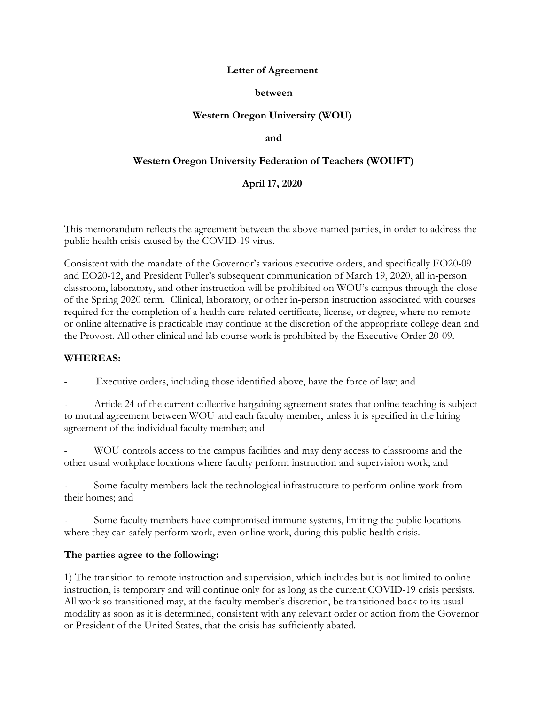# **Letter of Agreement**

## **between**

# **Western Oregon University (WOU)**

### **and**

# **Western Oregon University Federation of Teachers (WOUFT)**

## **April 17, 2020**

This memorandum reflects the agreement between the above-named parties, in order to address the public health crisis caused by the COVID-19 virus.

Consistent with the mandate of the Governor's various executive orders, and specifically EO20-09 and EO20-12, and President Fuller's subsequent communication of March 19, 2020, all in-person classroom, laboratory, and other instruction will be prohibited on WOU's campus through the close of the Spring 2020 term. Clinical, laboratory, or other in-person instruction associated with courses required for the completion of a health care-related certificate, license, or degree, where no remote or online alternative is practicable may continue at the discretion of the appropriate college dean and the Provost. All other clinical and lab course work is prohibited by the Executive Order 20-09.

### **WHEREAS:**

Executive orders, including those identified above, have the force of law; and

Article 24 of the current collective bargaining agreement states that online teaching is subject to mutual agreement between WOU and each faculty member, unless it is specified in the hiring agreement of the individual faculty member; and

- WOU controls access to the campus facilities and may deny access to classrooms and the other usual workplace locations where faculty perform instruction and supervision work; and

Some faculty members lack the technological infrastructure to perform online work from their homes; and

Some faculty members have compromised immune systems, limiting the public locations where they can safely perform work, even online work, during this public health crisis.

### **The parties agree to the following:**

1) The transition to remote instruction and supervision, which includes but is not limited to online instruction, is temporary and will continue only for as long as the current COVID-19 crisis persists. All work so transitioned may, at the faculty member's discretion, be transitioned back to its usual modality as soon as it is determined, consistent with any relevant order or action from the Governor or President of the United States, that the crisis has sufficiently abated.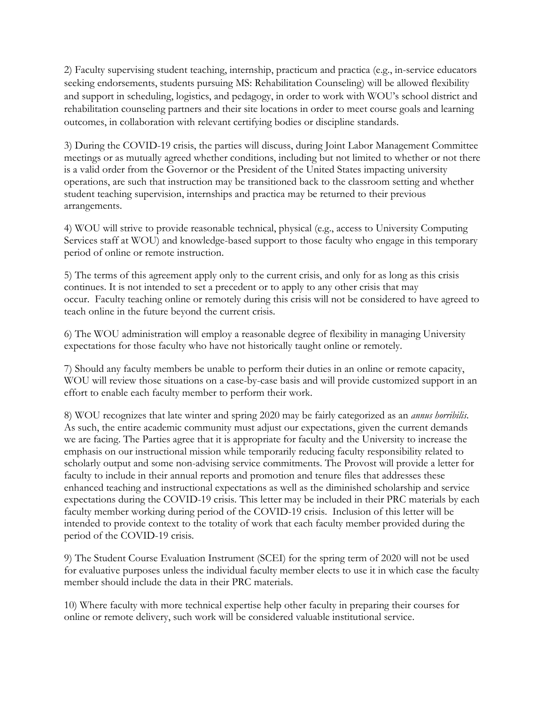2) Faculty supervising student teaching, internship, practicum and practica (e.g., in-service educators seeking endorsements, students pursuing MS: Rehabilitation Counseling) will be allowed flexibility and support in scheduling, logistics, and pedagogy, in order to work with WOU's school district and rehabilitation counseling partners and their site locations in order to meet course goals and learning outcomes, in collaboration with relevant certifying bodies or discipline standards.

3) During the COVID-19 crisis, the parties will discuss, during Joint Labor Management Committee meetings or as mutually agreed whether conditions, including but not limited to whether or not there is a valid order from the Governor or the President of the United States impacting university operations, are such that instruction may be transitioned back to the classroom setting and whether student teaching supervision, internships and practica may be returned to their previous arrangements.

4) WOU will strive to provide reasonable technical, physical (e.g., access to University Computing Services staff at WOU) and knowledge-based support to those faculty who engage in this temporary period of online or remote instruction.

5) The terms of this agreement apply only to the current crisis, and only for as long as this crisis continues. It is not intended to set a precedent or to apply to any other crisis that may occur. Faculty teaching online or remotely during this crisis will not be considered to have agreed to teach online in the future beyond the current crisis.

6) The WOU administration will employ a reasonable degree of flexibility in managing University expectations for those faculty who have not historically taught online or remotely.

7) Should any faculty members be unable to perform their duties in an online or remote capacity, WOU will review those situations on a case-by-case basis and will provide customized support in an effort to enable each faculty member to perform their work.

8) WOU recognizes that late winter and spring 2020 may be fairly categorized as an *annus horribilis*. As such, the entire academic community must adjust our expectations, given the current demands we are facing. The Parties agree that it is appropriate for faculty and the University to increase the emphasis on our instructional mission while temporarily reducing faculty responsibility related to scholarly output and some non-advising service commitments. The Provost will provide a letter for faculty to include in their annual reports and promotion and tenure files that addresses these enhanced teaching and instructional expectations as well as the diminished scholarship and service expectations during the COVID-19 crisis. This letter may be included in their PRC materials by each faculty member working during period of the COVID-19 crisis. Inclusion of this letter will be intended to provide context to the totality of work that each faculty member provided during the period of the COVID-19 crisis.

9) The Student Course Evaluation Instrument (SCEI) for the spring term of 2020 will not be used for evaluative purposes unless the individual faculty member elects to use it in which case the faculty member should include the data in their PRC materials.

10) Where faculty with more technical expertise help other faculty in preparing their courses for online or remote delivery, such work will be considered valuable institutional service.